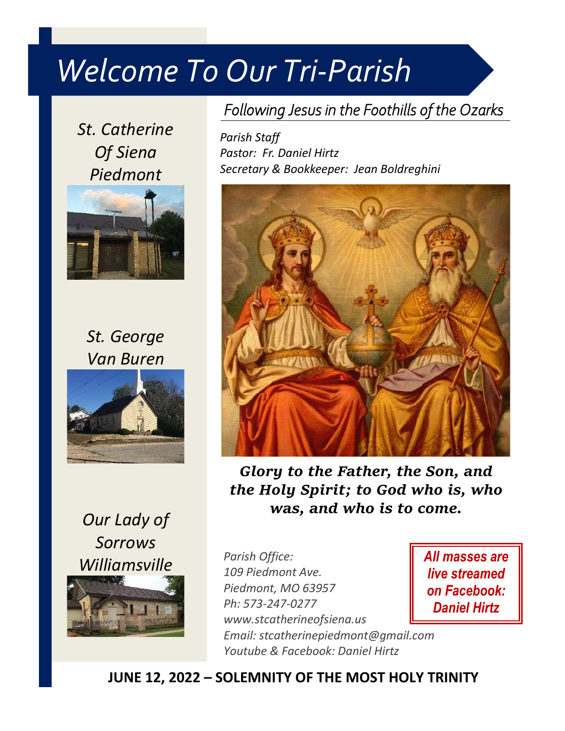## *Welcome To Our Tri-Parish*

*St. Catherine Of Siena Piedmont*



*St. George Van Buren*



*Our Lady of Sorrows Williamsville*

## *Following Jesus in the Foothills of the Ozarks*

*Parish Staff Pastor: Fr. Daniel Hirtz Secretary & Bookkeeper: Jean Boldreghini*



*Glory to the Father, the Son, and the Holy Spirit; to God who is, who was, and who is to come.*

*Parish Office: 109 Piedmont Ave. Piedmont, MO 63957 Ph: 573-247-0277 www.stcatherineofsiena.us Email: stcatherinepiedmont@gmail.com Youtube & Facebook: Daniel Hirtz*

*All masses are live streamed on Facebook: Daniel Hirtz*

**JUNE 12, 2022 – SOLEMNITY OF THE MOST HOLY TRINITY**